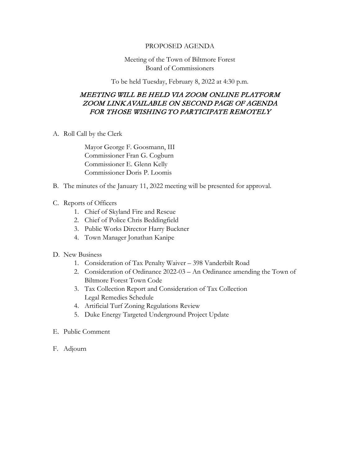## PROPOSED AGENDA

## Meeting of the Town of Biltmore Forest Board of Commissioners

To be held Tuesday, February 8, 2022 at 4:30 p.m.

## MEETING WILL BE HELD VIA ZOOM ONLINE PLATFORM ZOOM LINK AVAILABLE ON SECOND PAGE OF AGENDA FOR THOSE WISHING TO PARTICIPATE REMOTELY

A. Roll Call by the Clerk

Mayor George F. Goosmann, III Commissioner Fran G. Cogburn Commissioner E. Glenn Kelly Commissioner Doris P. Loomis

- B. The minutes of the January 11, 2022 meeting will be presented for approval.
- C. Reports of Officers
	- 1. Chief of Skyland Fire and Rescue
	- 2. Chief of Police Chris Beddingfield
	- 3. Public Works Director Harry Buckner
	- 4. Town Manager Jonathan Kanipe
- D. New Business
	- 1. Consideration of Tax Penalty Waiver 398 Vanderbilt Road
	- 2. Consideration of Ordinance 2022-03 An Ordinance amending the Town of Biltmore Forest Town Code
	- 3. Tax Collection Report and Consideration of Tax Collection Legal Remedies Schedule
	- 4. Artificial Turf Zoning Regulations Review
	- 5. Duke Energy Targeted Underground Project Update
- E. Public Comment
- F. Adjourn